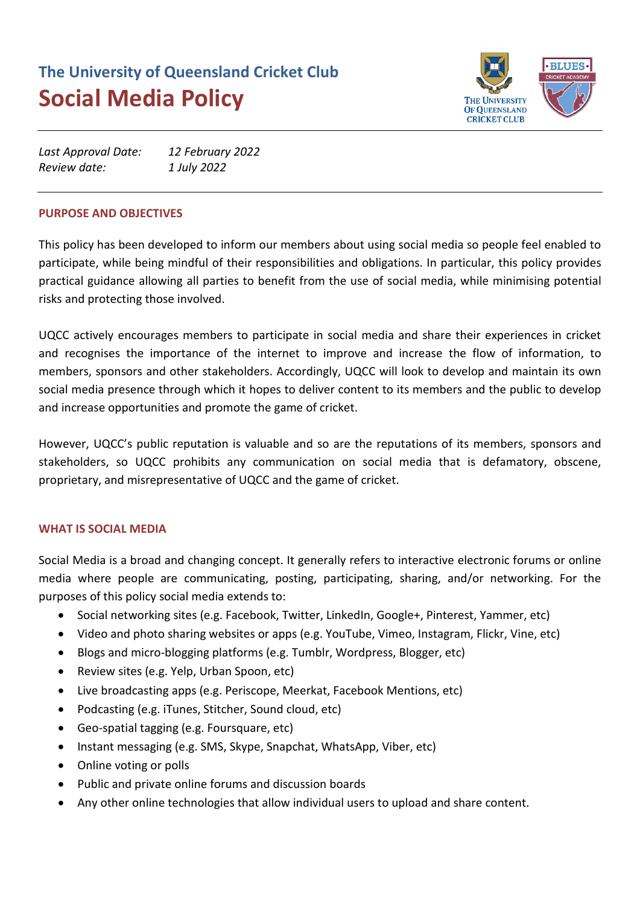# **The University of Queensland Cricket Club Social Media Policy**



| Last Approval Date: | 12 February 2022 |
|---------------------|------------------|
| Review date:        | 1 July 2022      |

# **PURPOSE AND OBJECTIVES**

This policy has been developed to inform our members about using social media so people feel enabled to participate, while being mindful of their responsibilities and obligations. In particular, this policy provides practical guidance allowing all parties to benefit from the use of social media, while minimising potential risks and protecting those involved.

UQCC actively encourages members to participate in social media and share their experiences in cricket and recognises the importance of the internet to improve and increase the flow of information, to members, sponsors and other stakeholders. Accordingly, UQCC will look to develop and maintain its own social media presence through which it hopes to deliver content to its members and the public to develop and increase opportunities and promote the game of cricket.

However, UQCC's public reputation is valuable and so are the reputations of its members, sponsors and stakeholders, so UQCC prohibits any communication on social media that is defamatory, obscene, proprietary, and misrepresentative of UQCC and the game of cricket.

# **WHAT IS SOCIAL MEDIA**

Social Media is a broad and changing concept. It generally refers to interactive electronic forums or online media where people are communicating, posting, participating, sharing, and/or networking. For the purposes of this policy social media extends to:

- Social networking sites (e.g. Facebook, Twitter, LinkedIn, Google+, Pinterest, Yammer, etc)
- Video and photo sharing websites or apps (e.g. YouTube, Vimeo, Instagram, Flickr, Vine, etc)
- Blogs and micro-blogging platforms (e.g. Tumblr, Wordpress, Blogger, etc)
- Review sites (e.g. Yelp, Urban Spoon, etc)
- Live broadcasting apps (e.g. Periscope, Meerkat, Facebook Mentions, etc)
- Podcasting (e.g. iTunes, Stitcher, Sound cloud, etc)
- Geo-spatial tagging (e.g. Foursquare, etc)
- Instant messaging (e.g. SMS, Skype, Snapchat, WhatsApp, Viber, etc)
- Online voting or polls
- Public and private online forums and discussion boards
- Any other online technologies that allow individual users to upload and share content.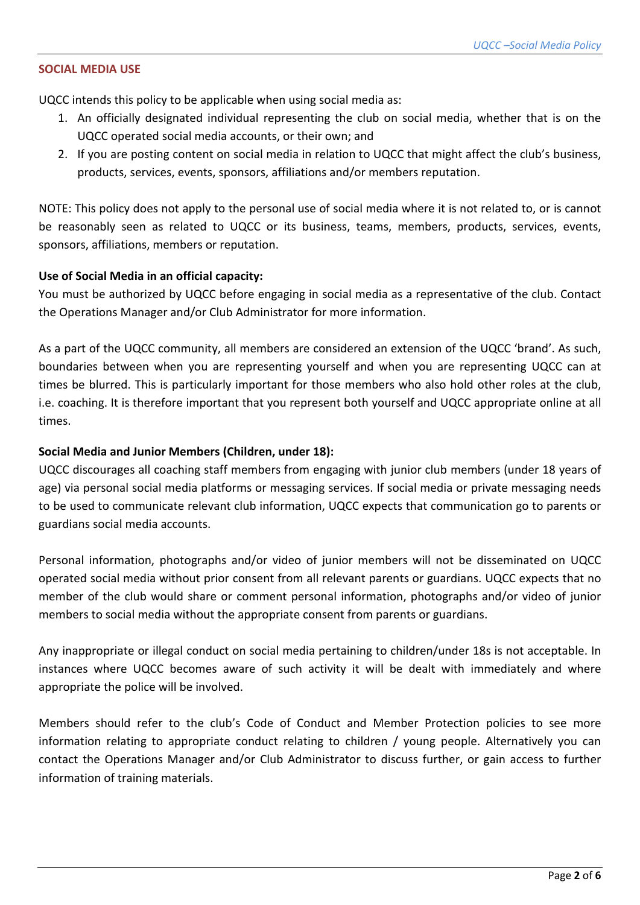# **SOCIAL MEDIA USE**

UQCC intends this policy to be applicable when using social media as:

- 1. An officially designated individual representing the club on social media, whether that is on the UQCC operated social media accounts, or their own; and
- 2. If you are posting content on social media in relation to UQCC that might affect the club's business, products, services, events, sponsors, affiliations and/or members reputation.

NOTE: This policy does not apply to the personal use of social media where it is not related to, or is cannot be reasonably seen as related to UQCC or its business, teams, members, products, services, events, sponsors, affiliations, members or reputation.

## **Use of Social Media in an official capacity:**

You must be authorized by UQCC before engaging in social media as a representative of the club. Contact the Operations Manager and/or Club Administrator for more information.

As a part of the UQCC community, all members are considered an extension of the UQCC 'brand'. As such, boundaries between when you are representing yourself and when you are representing UQCC can at times be blurred. This is particularly important for those members who also hold other roles at the club, i.e. coaching. It is therefore important that you represent both yourself and UQCC appropriate online at all times.

# **Social Media and Junior Members (Children, under 18):**

UQCC discourages all coaching staff members from engaging with junior club members (under 18 years of age) via personal social media platforms or messaging services. If social media or private messaging needs to be used to communicate relevant club information, UQCC expects that communication go to parents or guardians social media accounts.

Personal information, photographs and/or video of junior members will not be disseminated on UQCC operated social media without prior consent from all relevant parents or guardians. UQCC expects that no member of the club would share or comment personal information, photographs and/or video of junior members to social media without the appropriate consent from parents or guardians.

Any inappropriate or illegal conduct on social media pertaining to children/under 18s is not acceptable. In instances where UQCC becomes aware of such activity it will be dealt with immediately and where appropriate the police will be involved.

Members should refer to the club's Code of Conduct and Member Protection policies to see more information relating to appropriate conduct relating to children / young people. Alternatively you can contact the Operations Manager and/or Club Administrator to discuss further, or gain access to further information of training materials.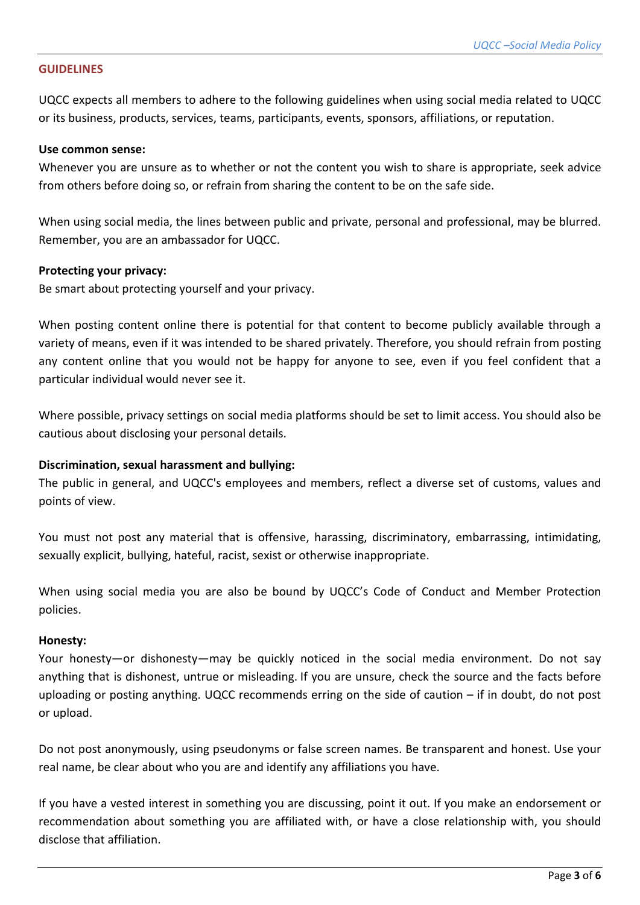# **GUIDELINES**

UQCC expects all members to adhere to the following guidelines when using social media related to UQCC or its business, products, services, teams, participants, events, sponsors, affiliations, or reputation.

#### **Use common sense:**

Whenever you are unsure as to whether or not the content you wish to share is appropriate, seek advice from others before doing so, or refrain from sharing the content to be on the safe side.

When using social media, the lines between public and private, personal and professional, may be blurred. Remember, you are an ambassador for UQCC.

## **Protecting your privacy:**

Be smart about protecting yourself and your privacy.

When posting content online there is potential for that content to become publicly available through a variety of means, even if it was intended to be shared privately. Therefore, you should refrain from posting any content online that you would not be happy for anyone to see, even if you feel confident that a particular individual would never see it.

Where possible, privacy settings on social media platforms should be set to limit access. You should also be cautious about disclosing your personal details.

# **Discrimination, sexual harassment and bullying:**

The public in general, and UQCC's employees and members, reflect a diverse set of customs, values and points of view.

You must not post any material that is offensive, harassing, discriminatory, embarrassing, intimidating, sexually explicit, bullying, hateful, racist, sexist or otherwise inappropriate.

When using social media you are also be bound by UQCC's Code of Conduct and Member Protection policies.

#### **Honesty:**

Your honesty—or dishonesty—may be quickly noticed in the social media environment. Do not say anything that is dishonest, untrue or misleading. If you are unsure, check the source and the facts before uploading or posting anything. UQCC recommends erring on the side of caution – if in doubt, do not post or upload.

Do not post anonymously, using pseudonyms or false screen names. Be transparent and honest. Use your real name, be clear about who you are and identify any affiliations you have.

If you have a vested interest in something you are discussing, point it out. If you make an endorsement or recommendation about something you are affiliated with, or have a close relationship with, you should disclose that affiliation.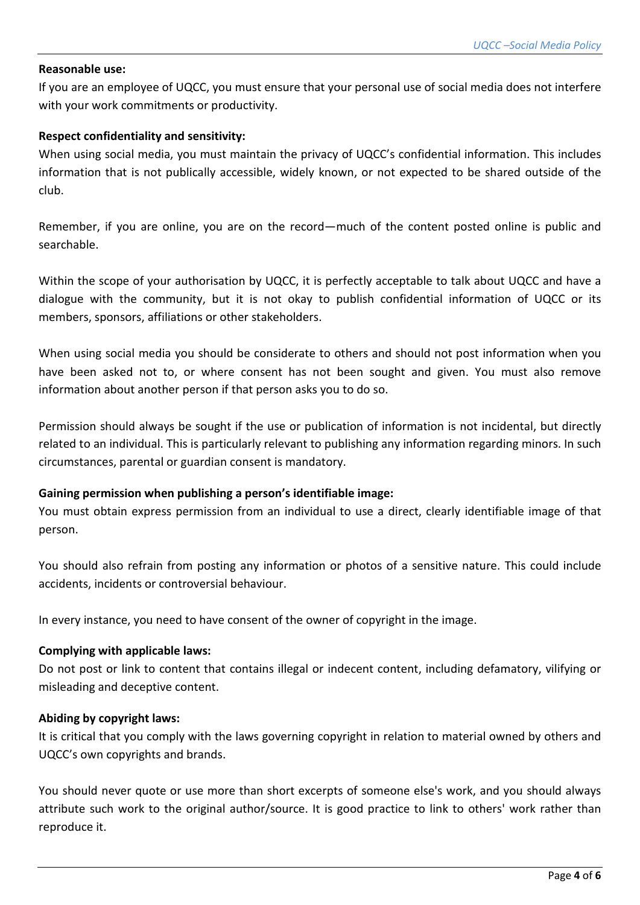# **Reasonable use:**

If you are an employee of UQCC, you must ensure that your personal use of social media does not interfere with your work commitments or productivity.

# **Respect confidentiality and sensitivity:**

When using social media, you must maintain the privacy of UQCC's confidential information. This includes information that is not publically accessible, widely known, or not expected to be shared outside of the club.

Remember, if you are online, you are on the record—much of the content posted online is public and searchable.

Within the scope of your authorisation by UQCC, it is perfectly acceptable to talk about UQCC and have a dialogue with the community, but it is not okay to publish confidential information of UQCC or its members, sponsors, affiliations or other stakeholders.

When using social media you should be considerate to others and should not post information when you have been asked not to, or where consent has not been sought and given. You must also remove information about another person if that person asks you to do so.

Permission should always be sought if the use or publication of information is not incidental, but directly related to an individual. This is particularly relevant to publishing any information regarding minors. In such circumstances, parental or guardian consent is mandatory.

# **Gaining permission when publishing a person's identifiable image:**

You must obtain express permission from an individual to use a direct, clearly identifiable image of that person.

You should also refrain from posting any information or photos of a sensitive nature. This could include accidents, incidents or controversial behaviour.

In every instance, you need to have consent of the owner of copyright in the image.

#### **Complying with applicable laws:**

Do not post or link to content that contains illegal or indecent content, including defamatory, vilifying or misleading and deceptive content.

#### **Abiding by copyright laws:**

It is critical that you comply with the laws governing copyright in relation to material owned by others and UQCC's own copyrights and brands.

You should never quote or use more than short excerpts of someone else's work, and you should always attribute such work to the original author/source. It is good practice to link to others' work rather than reproduce it.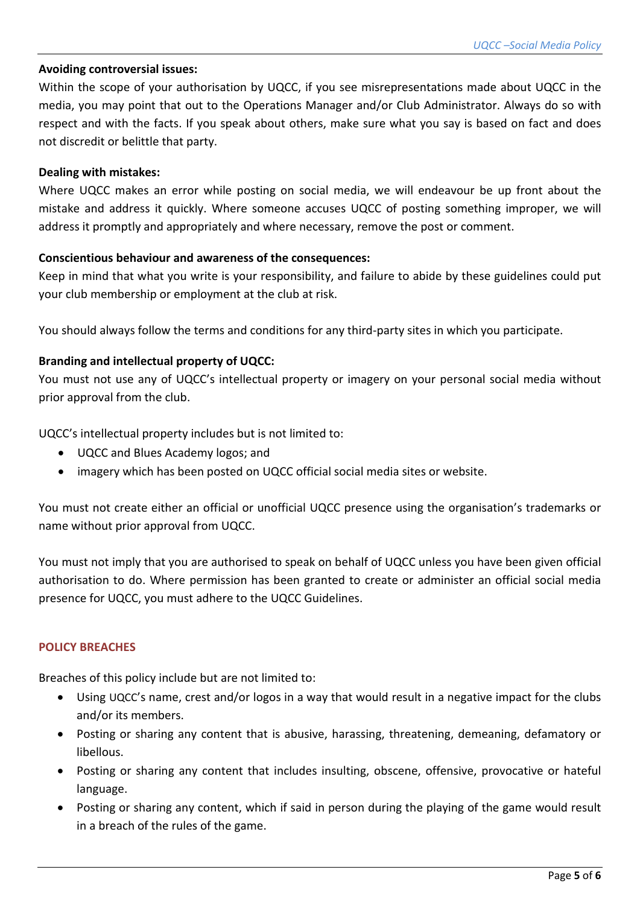# **Avoiding controversial issues:**

Within the scope of your authorisation by UQCC, if you see misrepresentations made about UQCC in the media, you may point that out to the Operations Manager and/or Club Administrator. Always do so with respect and with the facts. If you speak about others, make sure what you say is based on fact and does not discredit or belittle that party.

## **Dealing with mistakes:**

Where UQCC makes an error while posting on social media, we will endeavour be up front about the mistake and address it quickly. Where someone accuses UQCC of posting something improper, we will address it promptly and appropriately and where necessary, remove the post or comment.

## **Conscientious behaviour and awareness of the consequences:**

Keep in mind that what you write is your responsibility, and failure to abide by these guidelines could put your club membership or employment at the club at risk.

You should always follow the terms and conditions for any third-party sites in which you participate.

# **Branding and intellectual property of UQCC:**

You must not use any of UQCC's intellectual property or imagery on your personal social media without prior approval from the club.

UQCC's intellectual property includes but is not limited to:

- UQCC and Blues Academy logos; and
- imagery which has been posted on UQCC official social media sites or website.

You must not create either an official or unofficial UQCC presence using the organisation's trademarks or name without prior approval from UQCC.

You must not imply that you are authorised to speak on behalf of UQCC unless you have been given official authorisation to do. Where permission has been granted to create or administer an official social media presence for UQCC, you must adhere to the UQCC Guidelines.

## **POLICY BREACHES**

Breaches of this policy include but are not limited to:

- Using UQCC's name, crest and/or logos in a way that would result in a negative impact for the clubs and/or its members.
- Posting or sharing any content that is abusive, harassing, threatening, demeaning, defamatory or libellous.
- Posting or sharing any content that includes insulting, obscene, offensive, provocative or hateful language.
- Posting or sharing any content, which if said in person during the playing of the game would result in a breach of the rules of the game.